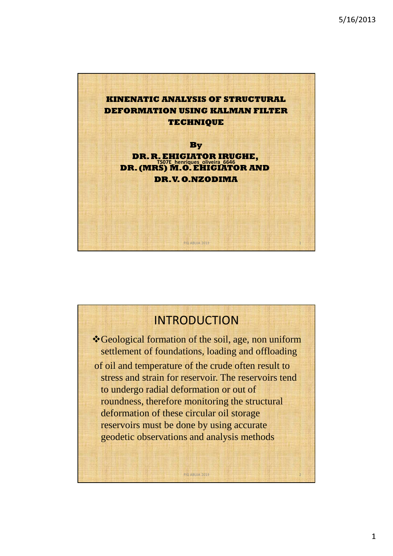

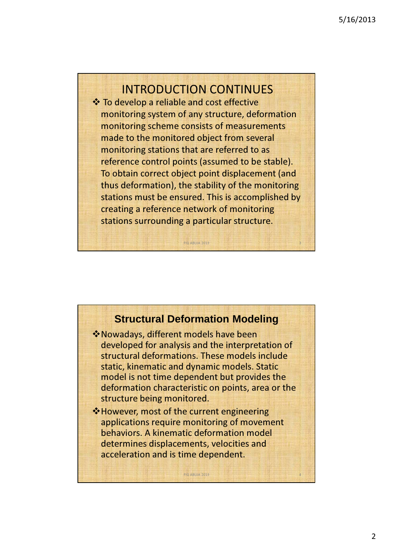### INTRODUCTION CONTINUES

 $\div$  **To develop a reliable and cost effective** monitoring system of any structure, deformation monitoring scheme consists of measurements made to the monitored object from several monitoring stations that are referred to as reference control points (assumed to be stable). To obtain correct object point displacement (and thus deformation), the stability of the monitoring stations must be ensured. This is accomplished by creating a reference network of monitoring stations surrounding a particular structure.

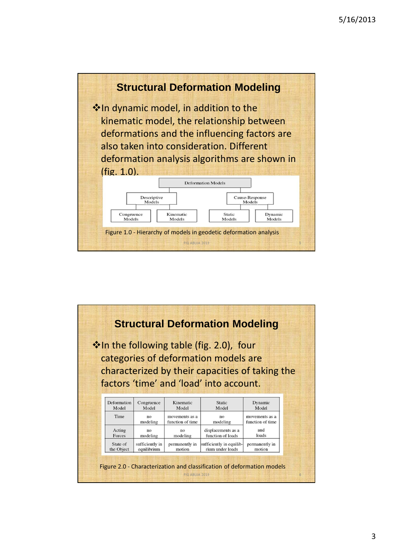

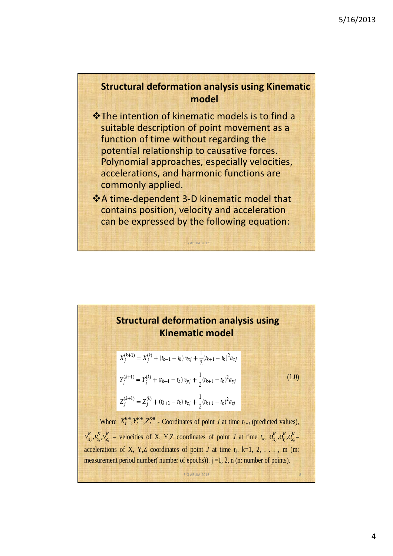#### Structural deformation analysis using Kinematic model

- The intention of kinematic models is to find a suitable description of point movement as a function of time without regarding the potential relationship to causative forces. Polynomial approaches, especially velocities, accelerations, and harmonic functions are commonly applied.
- A time-dependent 3-D kinematic model that contains position, velocity and acceleration can be expressed by the following equation:

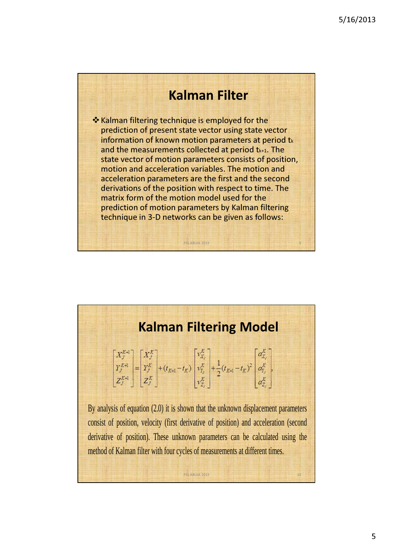# Kalman Filter

\* Kalman filtering technique is employed for the prediction of present state vector using state vector information of known motion parameters at period  $t_k$ and the measurements collected at period t<sub>k+1</sub>. The state vector of motion parameters consists of position, motion and acceleration variables. The motion and acceleration parameters are the first and the second derivations of the position with respect to time. The matrix form of the motion model used for the prediction of motion parameters by Kalman filtering technique in 3-D networks can be given as follows:

FIG ABUJA 2013

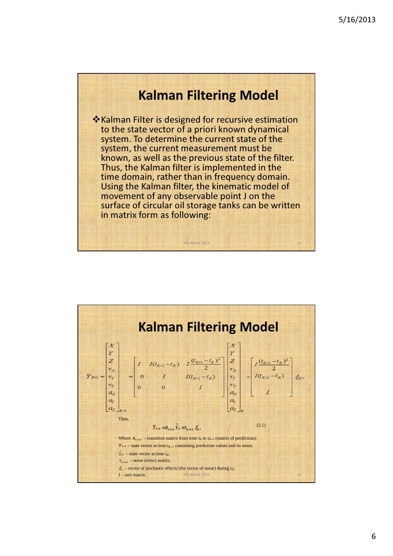# Kalman Filtering Model

**\*** Kalman Filter is designed for recursive estimation to the state vector of a priori known dynamical system. To determine the current state of the system, the current measurement must be known, as well as the previous state of the filter. Thus, the Kalman filter is implemented in the time domain, rather than in frequency domain. Using the Kalman filter, the kinematic model of movement of any observable point J on the surface of circular oil storage tanks can be written in matrix form as following:

**FIG ABUJA 2013** 11

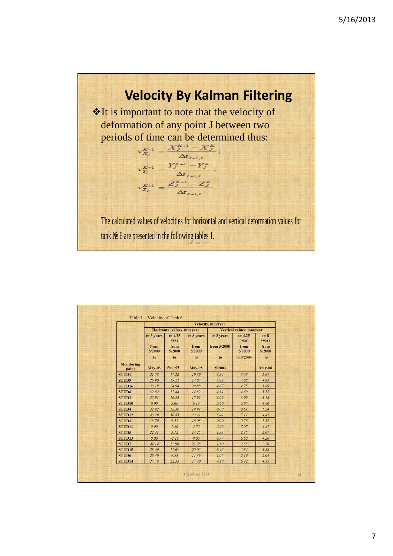

|                     | Velocity, mm/vear                     |                                            |                                       |                                    |                                                   |                                          |
|---------------------|---------------------------------------|--------------------------------------------|---------------------------------------|------------------------------------|---------------------------------------------------|------------------------------------------|
|                     |                                       | Horizontal values, mm vear                 |                                       | Vertical values, mm/year           |                                                   |                                          |
|                     | $t = 3$ vears<br>from<br>5/2000<br>to | $t = 4.25$<br>year<br>from<br>5/2000<br>to | $t = 8$ vears<br>from<br>5/2000<br>to | $t = 3$ vears<br>from 5/2000<br>to | $t = 4.25$<br>vear<br>from<br>5/2000<br>to 8/2004 | $t = 8$<br>years<br>from<br>5/2000<br>to |
| Monitoring<br>point | <b>May-03</b>                         | <b>Aug -04</b>                             | <b>May-08</b>                         | 5/2003                             |                                                   | <b>May-08</b>                            |
| STUD1               | 21.58                                 | 17.26                                      | 19.39                                 | 3.84                               | 3.68                                              | 2.87                                     |
| STUD9               | 26.90                                 | 19.11                                      | 14.87                                 | 5.82                               | 7.08                                              | 4.43                                     |
| STUD <sub>16</sub>  | 33.19                                 | 24.94                                      | 20.88                                 | 4.67                               | 4.75                                              | 3.69                                     |
| <b>STUD8</b>        | 32.62                                 | 17.44                                      | 14.82                                 | 4.14                               | 4.60                                              | 3.52                                     |
| STUD2               | 25.91                                 | 16.35                                      | 17.92                                 | 3.69                               | 3.99                                              | 3.18                                     |
| STUD <sub>10</sub>  | 0.00                                  | 5.60                                       | 6.13                                  | 5.60                               | 6.97                                              | 4.46                                     |
| STUD <sub>4</sub>   | 32.92                                 | 12.36                                      | 19.94                                 | 0.00                               | 0.64                                              | 1.24                                     |
| STUD <sub>12</sub>  | 43.29                                 | 30.85                                      | 23.11                                 | 5.44                               | 7.14                                              | 4.41                                     |
| STUD3               | 13.79                                 | 9.52                                       | 16.08                                 | 0.00                               | 0.76                                              | 1.32                                     |
| STUD <sub>11</sub>  | 0.00                                  | 1.40                                       | 4.75                                  | 5.60                               | 7.07                                              | 4.47                                     |
| STUD5               | 22.31                                 | 5.12                                       | 14.25                                 | 1.33                               | 2.35                                              | 2.07                                     |
| STUD <sub>13</sub>  | 0.00                                  | $-2.15$                                    | 9.03                                  | 4.97                               | 6.60                                              | 4.26                                     |
| STUD7               | 44.14                                 | 17.96                                      | 21.78                                 | 1.30                               | 2.35                                              | 2.20                                     |
| STUD <sub>15</sub>  | 28.60                                 | 17.69                                      | 20.05                                 | 3.46                               | 5.84                                              | 3.88                                     |
| STUD6               | 20.40                                 | 9.53                                       | 11.36                                 | 1.07                               | 2.19                                              | 2.04                                     |
| STUD <sub>14</sub>  | 27.78                                 | 22.35                                      | 17.40                                 | 4.10                               | 6.42                                              | 4.15                                     |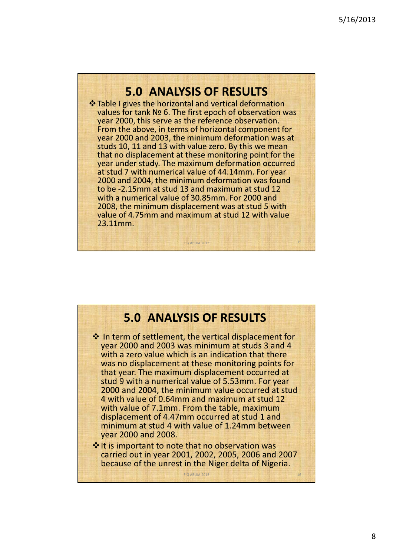## 5.0 ANALYSIS OF RESULTS

 **\*\*** Table I gives the horizontal and vertical deformation values for tank № 6. The first epoch of observation was year 2000, this serve as the reference observation. From the above, in terms of horizontal component for year 2000 and 2003, the minimum deformation was at studs 10, 11 and 13 with value zero. By this we mean that no displacement at these monitoring point for the year under study. The maximum deformation occurred at stud 7 with numerical value of 44.14mm. For year 2000 and 2004, the minimum deformation was found to be -2.15mm at stud 13 and maximum at stud 12 with a numerical value of 30.85mm. For 2000 and 2008, the minimum displacement was at stud 5 with value of 4.75mm and maximum at stud 12 with value 23.11mm.